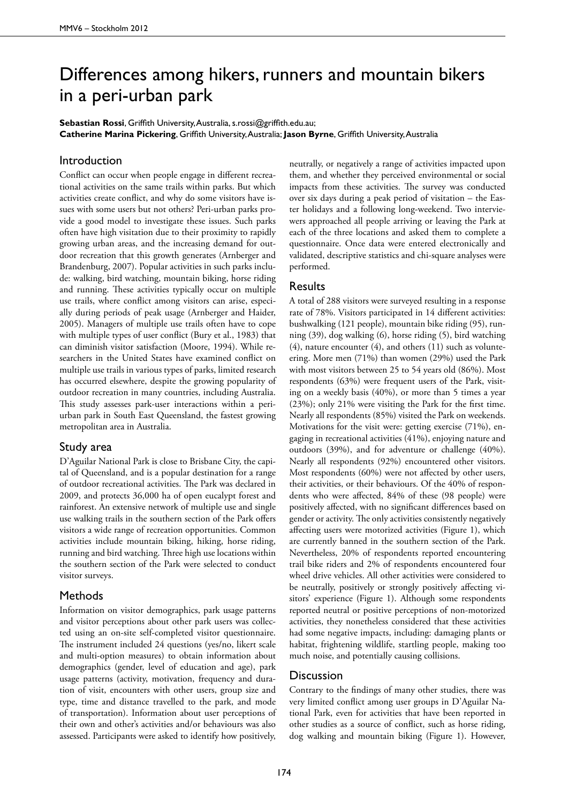# Differences among hikers, runners and mountain bikers in a peri-urban park

**Sebastian Rossi**, Griffith University, Australia, s.rossi@griffith.edu.au; **Catherine Marina Pickering**, Griffith University, Australia; **Jason Byrne**, Griffith University, Australia

## Introduction

Conflict can occur when people engage in different recreational activities on the same trails within parks. But which activities create conflict, and why do some visitors have issues with some users but not others? Peri-urban parks provide a good model to investigate these issues. Such parks often have high visitation due to their proximity to rapidly growing urban areas, and the increasing demand for outdoor recreation that this growth generates (Arnberger and Brandenburg, 2007). Popular activities in such parks include: walking, bird watching, mountain biking, horse riding and running. These activities typically occur on multiple use trails, where conflict among visitors can arise, especially during periods of peak usage (Arnberger and Haider, 2005). Managers of multiple use trails often have to cope with multiple types of user conflict (Bury et al., 1983) that can diminish visitor satisfaction (Moore, 1994). While researchers in the United States have examined conflict on multiple use trails in various types of parks, limited research has occurred elsewhere, despite the growing popularity of outdoor recreation in many countries, including Australia. This study assesses park-user interactions within a periurban park in South East Queensland, the fastest growing metropolitan area in Australia.

### Study area

D'Aguilar National Park is close to Brisbane City, the capital of Queensland, and is a popular destination for a range of outdoor recreational activities. The Park was declared in 2009, and protects 36,000 ha of open eucalypt forest and rainforest. An extensive network of multiple use and single use walking trails in the southern section of the Park offers visitors a wide range of recreation opportunities. Common activities include mountain biking, hiking, horse riding, running and bird watching. Three high use locations within the southern section of the Park were selected to conduct visitor surveys.

### Methods

Information on visitor demographics, park usage patterns and visitor perceptions about other park users was collected using an on-site self-completed visitor questionnaire. The instrument included 24 questions (yes/no, likert scale and multi-option measures) to obtain information about demographics (gender, level of education and age), park usage patterns (activity, motivation, frequency and duration of visit, encounters with other users, group size and type, time and distance travelled to the park, and mode of transportation). Information about user perceptions of their own and other's activities and/or behaviours was also assessed. Participants were asked to identify how positively,

neutrally, or negatively a range of activities impacted upon them, and whether they perceived environmental or social impacts from these activities. The survey was conducted over six days during a peak period of visitation – the Easter holidays and a following long-weekend. Two interviewers approached all people arriving or leaving the Park at each of the three locations and asked them to complete a questionnaire. Once data were entered electronically and validated, descriptive statistics and chi-square analyses were performed.

### Results

A total of 288 visitors were surveyed resulting in a response rate of 78%. Visitors participated in 14 different activities: bushwalking (121 people), mountain bike riding (95), running (39), dog walking (6), horse riding (5), bird watching (4), nature encounter (4), and others (11) such as volunteering. More men (71%) than women (29%) used the Park with most visitors between 25 to 54 years old (86%). Most respondents (63%) were frequent users of the Park, visiting on a weekly basis (40%), or more than 5 times a year (23%); only 21% were visiting the Park for the first time. Nearly all respondents (85%) visited the Park on weekends. Motivations for the visit were: getting exercise (71%), engaging in recreational activities (41%), enjoying nature and outdoors (39%), and for adventure or challenge (40%). Nearly all respondents (92%) encountered other visitors. Most respondents (60%) were not affected by other users, their activities, or their behaviours. Of the 40% of respondents who were affected, 84% of these (98 people) were positively affected, with no significant differences based on gender or activity. The only activities consistently negatively affecting users were motorized activities (Figure 1), which are currently banned in the southern section of the Park. Nevertheless, 20% of respondents reported encountering trail bike riders and 2% of respondents encountered four wheel drive vehicles. All other activities were considered to be neutrally, positively or strongly positively affecting visitors' experience (Figure 1). Although some respondents reported neutral or positive perceptions of non-motorized activities, they nonetheless considered that these activities had some negative impacts, including: damaging plants or habitat, frightening wildlife, startling people, making too much noise, and potentially causing collisions.

### Discussion

Contrary to the findings of many other studies, there was very limited conflict among user groups in D'Aguilar National Park, even for activities that have been reported in other studies as a source of conflict, such as horse riding, dog walking and mountain biking (Figure 1). However,